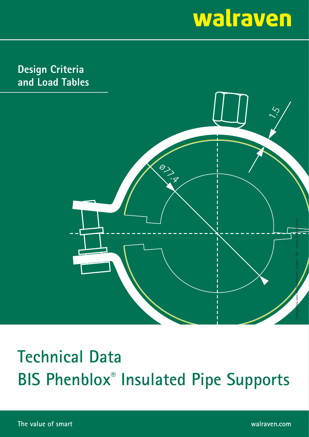**Design Criteria and Load Tables**



## **Technical Data BIS Phenblox® Insulated Pipe Supports**

**The value of smart walraven.com**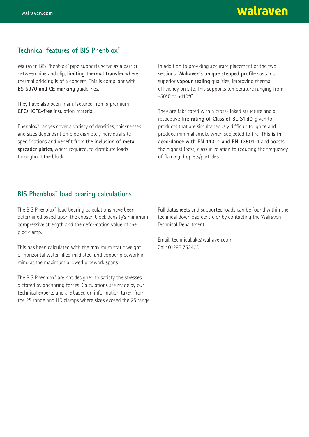#### **Technical features of BIS Phenblox®**

Walraven BIS Phenblox® pipe supports serve as a barrier between pipe and clip, **limiting thermal transfer** where thermal bridging is of a concern. This is compliant with **BS 5970 and CE marking** guidelines.

They have also been manufactured from a premium **CFC/HCFC-free** insulation material.

Phenblox® ranges cover a variety of densities, thicknesses and sizes dependant on pipe diameter, individual site specifications and benefit from the *inclusion* of metal **spreader plates**, where required, to distribute loads throughout the block.

In addition to providing accurate placement of the two sections, Walraven's unique stepped profile sustains superior **vapour sealing** qualities, improving thermal efficiency on site. This supports temperature ranging from -50°C to +110°C.

They are fabricated with a cross-linked structure and a respective fire rating of Class of BL-S1,d0, given to products that are simultaneously difficult to ignite and produce minimal smoke when subjected to fire. **This is in accordance with EN 14314 and EN 13501-1** and boasts the highest (best) class in relation to reducing the frequency of flaming droplets/particles.

#### **BIS Phenblox® load bearing calculations**

The BIS Phenblox® load bearing calculations have been determined based upon the chosen block density's minimum compressive strength and the deformation value of the pipe clamp.

This has been calculated with the maximum static weight of horizontal water filled mild steel and copper pipework in mind at the maximum allowed pipework spans.

The BIS Phenblox® are not designed to satisfy the stresses dictated by anchoring forces. Calculations are made by our technical experts and are based on information taken from the 2S range and HD clamps where sizes exceed the 2S range. Full datasheets and supported loads can be found within the technical download centre or by contacting the Walraven Technical Department.

Email: technical.uk@walraven.com Call: 01295 753400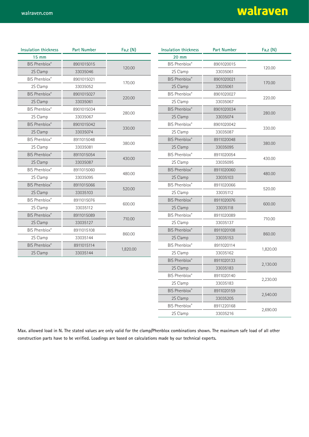| <b>Insulation thickness</b> | <b>Part Number</b> | Fa,Z(N)  | <b>Insulation thickness</b> | <b>Part Number</b> | Fa,Z(N)  |
|-----------------------------|--------------------|----------|-----------------------------|--------------------|----------|
| 15 mm                       |                    |          | 20 mm                       |                    |          |
| <b>BIS Phenblox®</b>        | 8901015015         | 120.00   | BIS Phenblox®               | 8901020015         | 120.00   |
| 2S Clamp                    | 33035046           |          | 2S Clamp                    | 33035061           |          |
| <b>BIS Phenblox®</b>        | 8901015021         | 170.00   | <b>BIS Phenblox®</b>        | 8901020021         | 170.00   |
| 2S Clamp                    | 33035052           |          | 2S Clamp                    | 33035061           |          |
| <b>BIS Phenblox®</b>        | 8901015027         | 220.00   | BIS Phenblox®               | 8901020027         | 220.00   |
| 2S Clamp                    | 33035061           |          | 2S Clamp                    | 33035067           |          |
| <b>BIS Phenblox®</b>        | 8901015034         | 280.00   | <b>BIS Phenblox®</b>        | 8901020034         | 280.00   |
| 2S Clamp                    | 33035067           |          | 2S Clamp                    | 33035074           |          |
| <b>BIS Phenblox®</b>        | 8901015042         | 330.00   | BIS Phenblox®               | 8901020042         | 330.00   |
| 2S Clamp                    | 33035074           |          | 2S Clamp                    | 33035087           |          |
| <b>BIS Phenblox®</b>        | 8911015048         | 380.00   | <b>BIS Phenblox®</b>        | 8911020048         |          |
| 2S Clamp                    | 33035081           |          | 2S Clamp                    | 33035095           | 380.00   |
| <b>BIS Phenblox®</b>        | 8911015054         | 430.00   | BIS Phenblox®               | 8911020054         |          |
| 2S Clamp                    | 33035087           |          | 2S Clamp                    | 33035095           | 430.00   |
| BIS Phenblox®               | 8911015060         | 480.00   | <b>BIS Phenblox®</b>        | 8911020060         |          |
| 2S Clamp                    | 33035095           |          | 2S Clamp                    | 33035103           | 480.00   |
| <b>BIS Phenblox®</b>        | 8911015066         | 520.00   | BIS Phenblox®               | 8911020066         |          |
| 2S Clamp                    | 33035103           |          | 2S Clamp                    | 33035112           | 520.00   |
| <b>BIS Phenblox®</b>        | 8911015076         | 600.00   | <b>BIS Phenblox®</b>        | 8911020076         |          |
| 2S Clamp                    | 33035112           |          | 2S Clamp                    | 33035118           | 600.00   |
| <b>BIS Phenblox®</b>        | 8911015089         | 710.00   | BIS Phenblox®               | 8911020089         |          |
| 2S Clamp                    | 33035127           |          | 2S Clamp                    | 33035137           | 710.00   |
| <b>BIS Phenblox®</b>        | 8911015108         | 860.00   | <b>BIS Phenblox®</b>        | 8911020108         |          |
| 2S Clamp                    | 33035144           |          | 2S Clamp                    | 33035153           | 860.00   |
| <b>BIS Phenblox®</b>        | 8911015114         | 1,820.00 | <b>BIS Phenblox®</b>        | 8911020114         |          |
| 2S Clamp                    | 33035144           |          | 2S Clamp                    | 33035162           | 1,820.00 |
|                             |                    |          | <b>BIS Phenblox®</b>        | 8911020133         |          |
|                             |                    |          | 2S Clamp                    | 33035183           | 2,130.00 |
|                             |                    |          | BIS Phenblox®               | 8911020140         |          |

**Max. allowed load in N. The stated values are only valid for the clamp/Phenblox combinations shown. The maximum safe load of all other**  construction parts have to be verified. Loadings are based on calculations made by our technical experts.

2,230.00<br>2S Clamp 33035183

2,540.00<br>2S Clamp 33035205 2,540.00

2,690.00<br>2S Clamp 33035216 2,690.00

BIS Phenblox<sup>®</sup> 8911020159

BIS Phenblox**®** 8911220168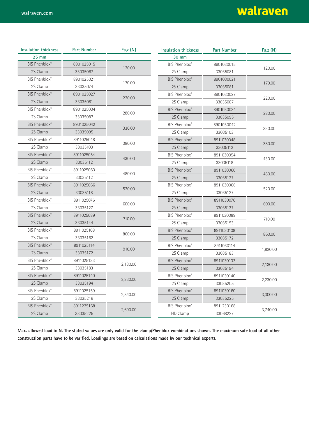| <b>Insulation thickness</b> | <b>Part Number</b> | Fa,z (N) | <b>Insulation thickness</b> | <b>Part Number</b> | Fa,z (N) |
|-----------------------------|--------------------|----------|-----------------------------|--------------------|----------|
| <b>25 mm</b>                |                    |          | 30 mm                       |                    |          |
| BIS Phenblox®               | 8901025015         |          | BIS Phenblox®               | 8901030015         | 120.00   |
| 2S Clamp                    | 33035067           | 120.00   | 2S Clamp                    | 33035081           |          |
| BIS Phenblox®               | 8901025021         |          | BIS Phenblox®               | 8901030021         | 170.00   |
| 2S Clamp                    | 33035074           | 170.00   | 2S Clamp                    | 33035081           |          |
| <b>BIS Phenblox®</b>        | 8901025027         | 220.00   | BIS Phenblox®               | 8901030027         | 220.00   |
| 2S Clamp                    | 33035081           |          | 2S Clamp                    | 33035087           |          |
| BIS Phenblox®               | 8901025034         | 280.00   | BIS Phenblox®               | 8901030034         |          |
| 2S Clamp                    | 33035087           |          | 2S Clamp                    | 33035095           | 280.00   |
| BIS Phenblox®               | 8901025042         | 330.00   | BIS Phenblox®               | 8901030042         |          |
| 2S Clamp                    | 33035095           |          | 2S Clamp                    | 33035103           | 330.00   |
| BIS Phenblox®               | 8911025048         |          | <b>BIS Phenblox®</b>        | 8911030048         | 380.00   |
| 2S Clamp                    | 33035103           | 380.00   | 2S Clamp                    | 33035112           |          |
| BIS Phenblox®               | 8911025054         |          | BIS Phenblox®               | 8911030054         |          |
| 2S Clamp                    | 33035112           | 430.00   | 2S Clamp                    | 33035118           | 430.00   |
| BIS Phenblox®               | 8911025060         |          | BIS Phenblox®               | 8911030060         | 480.00   |
| 2S Clamp                    | 33035112           | 480.00   | 2S Clamp                    | 33035127           |          |
| <b>BIS Phenblox®</b>        | 8911025066         |          | BIS Phenblox®               | 8911030066         | 520.00   |
| 2S Clamp                    | 33035118           | 520.00   | 2S Clamp                    | 33035127           |          |
| BIS Phenblox®               | 8911025076         | 600.00   | <b>BIS Phenblox®</b>        | 8911030076         |          |
| 2S Clamp                    | 33035127           |          | 2S Clamp                    | 33035137           | 600.00   |
| <b>BIS Phenblox®</b>        | 8911025089         | 710.00   | BIS Phenblox®               | 8911030089         |          |
| 2S Clamp                    | 33035144           |          | 2S Clamp                    | 33035153           | 710.00   |
| BIS Phenblox®               | 8911025108         | 860.00   | <b>BIS Phenblox®</b>        | 8911030108         | 860.00   |
| 2S Clamp                    | 33035162           |          | 2S Clamp                    | 33035172           |          |
| <b>BIS Phenblox®</b>        | 8911025114         | 910.00   | BIS Phenblox®               | 8911030114         | 1,820.00 |
| 2S Clamp                    | 33035172           |          | 2S Clamp                    | 33035183           |          |
| BIS Phenblox®               | 8911025133         | 2,130.00 | BIS Phenblox®               | 8911030133         | 2,130.00 |
| 2S Clamp                    | 33035183           |          | 2S Clamp                    | 33035194           |          |
| BIS Phenblox®               | 8911025140         | 2,230.00 | BIS Phenblox®               | 8911030140         | 2,230.00 |
| 2S Clamp                    | 33035194           |          | 2S Clamp                    | 33035205           |          |
| BIS Phenblox®               | 8911025159         |          | <b>BIS Phenblox®</b>        | 8911030160         |          |
| 2S Clamp                    | 33035216           | 2,540.00 | 2S Clamp                    | 33035225           | 3,300.00 |
| <b>BIS Phenblox®</b>        | 8911225168         | 2,690.00 | BIS Phenblox®               | 8911230168         |          |
| 2S Clamp                    | 33035225           |          | HD Clamp                    | 33068227           | 3,740.00 |

**Max. allowed load in N. The stated values are only valid for the clamp/Phenblox combinations shown. The maximum safe load of all other**  construction parts have to be verified. Loadings are based on calculations made by our technical experts.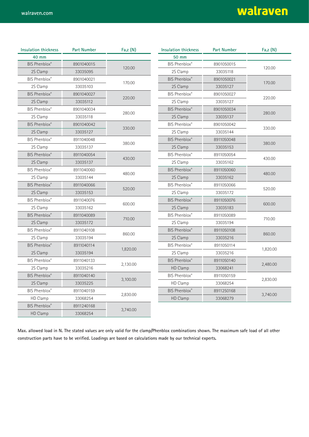| <b>Insulation thickness</b> | <b>Part Number</b> | Fa,z (N) | <b>Insulation thickness</b> | <b>Part Number</b> | Fa,z (N) |
|-----------------------------|--------------------|----------|-----------------------------|--------------------|----------|
| 40 mm                       |                    |          | 50 mm                       |                    |          |
| <b>BIS Phenblox®</b>        | 8901040015         | 120.00   | BIS Phenblox®               | 8901050015         | 120.00   |
| 2S Clamp                    | 33035095           |          | 2S Clamp                    | 33035118           |          |
| BIS Phenblox®               | 8901040021         | 170.00   | <b>BIS Phenblox®</b>        | 8901050021         | 170.00   |
| 2S Clamp                    | 33035103           |          | 2S Clamp                    | 33035127           |          |
| <b>BIS Phenblox®</b>        | 8901040027         | 220.00   | BIS Phenblox®               | 8901050027         | 220.00   |
| 2S Clamp                    | 33035112           |          | 2S Clamp                    | 33035127           |          |
| BIS Phenblox®               | 8901040034         | 280.00   | <b>BIS Phenblox®</b>        | 8901050034         | 280.00   |
| 2S Clamp                    | 33035118           |          | 2S Clamp                    | 33035137           |          |
| BIS Phenblox®               | 8901040042         | 330.00   | <b>BIS Phenblox®</b>        | 8901050042         |          |
| 2S Clamp                    | 33035127           |          | 2S Clamp                    | 33035144           | 330.00   |
| BIS Phenblox®               | 8911040048         |          | BIS Phenblox®               | 8911050048         | 380.00   |
| 2S Clamp                    | 33035137           | 380.00   | 2S Clamp                    | 33035153           |          |
| <b>BIS Phenblox®</b>        | 8911040054         |          | BIS Phenblox®               | 8911050054         | 430.00   |
| 2S Clamp                    | 33035137           | 430.00   | 2S Clamp                    | 33035162           |          |
| BIS Phenblox®               | 8911040060         | 480.00   | BIS Phenblox®               | 8911050060         | 480.00   |
| 2S Clamp                    | 33035144           |          | 2S Clamp                    | 33035162           |          |
| <b>BIS Phenblox®</b>        | 8911040066         | 520.00   | BIS Phenblox®               | 8911050066         | 520.00   |
| 2S Clamp                    | 33035153           |          | 2S Clamp                    | 33035172           |          |
| BIS Phenblox®               | 8911040076         | 600.00   | <b>BIS Phenblox®</b>        | 8911050076         |          |
| 2S Clamp                    | 33035162           |          | 2S Clamp                    | 33035183           | 600.00   |
| BIS Phenblox®               | 8911040089         | 710.00   | BIS Phenblox®               | 8911050089         | 710.00   |
| 2S Clamp                    | 33035172           |          | 2S Clamp                    | 33035194           |          |
| BIS Phenblox®               | 8911040108         | 860.00   | BIS Phenblox®               | 8911050108         | 860.00   |
| 2S Clamp                    | 33035194           |          | 2S Clamp                    | 33035216           |          |
| <b>BIS Phenblox®</b>        | 8911040114         | 1,820.00 | BIS Phenblox®               | 8911050114         | 1,820.00 |
| 2S Clamp                    | 33035194           |          | 2S Clamp                    | 33035216           |          |
| BIS Phenblox®               | 8911040133         | 2,130.00 | <b>BIS Phenblox®</b>        | 8911050140         | 2,480.00 |
| 2S Clamp                    | 33035216           |          | HD Clamp                    | 33068241           |          |
| <b>BIS Phenblox®</b>        | 8911040140         | 3,100.00 | <b>BIS Phenblox®</b>        | 8911050159         | 2,830.00 |
| 2S Clamp                    | 33035225           |          | HD Clamp                    | 33068254           |          |
| BIS Phenblox®               | 8911040159         |          | BIS Phenblox®               | 8911250168         |          |
| HD Clamp                    | 33068254           | 2,830.00 | HD Clamp                    | 33068279           | 3,740.00 |
| <b>BIS Phenblox®</b>        | 8911240168         | 3,740.00 |                             |                    |          |
| HD Clamp                    | 33068254           |          |                             |                    |          |

**Max. allowed load in N. The stated values are only valid for the clamp/Phenblox combinations shown. The maximum safe load of all other**  construction parts have to be verified. Loadings are based on calculations made by our technical experts.